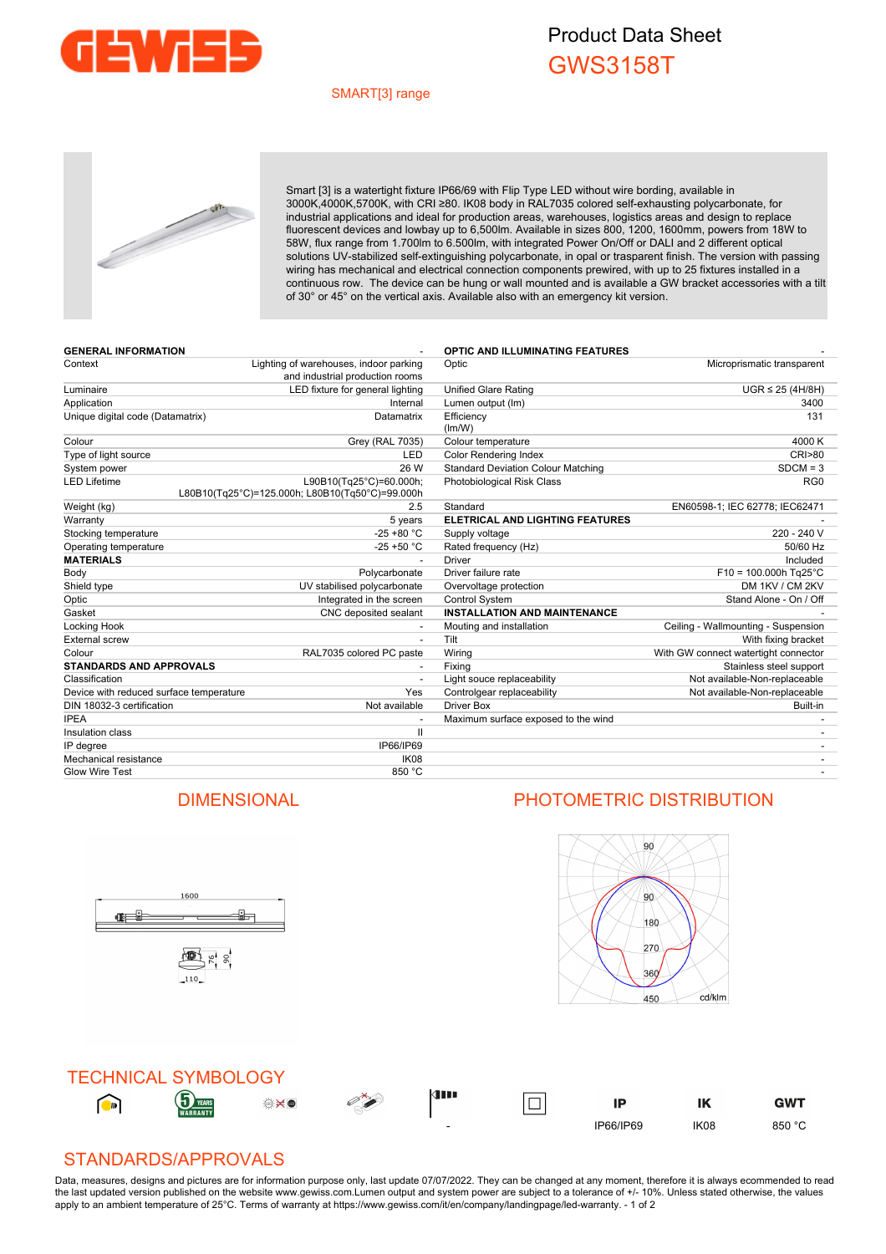

## Product Data Sheet GWS3158T

## SMART[3] range



Smart [3] is a watertight fixture IP66/69 with Flip Type LED without wire bording, available in 3000K,4000K,5700K, with CRI ≥80. IK08 body in RAL7035 colored self-exhausting polycarbonate, for industrial applications and ideal for production areas, warehouses, logistics areas and design to replace fluorescent devices and lowbay up to 6,500lm. Available in sizes 800, 1200, 1600mm, powers from 18W to 58W, flux range from 1.700lm to 6.500lm, with integrated Power On/Off or DALI and 2 different optical solutions UV-stabilized self-extinguishing polycarbonate, in opal or trasparent finish. The version with passing wiring has mechanical and electrical connection components prewired, with up to 25 fixtures installed in a continuous row. The device can be hung or wall mounted and is available a GW bracket accessories with a tilt of 30° or 45° on the vertical axis. Available also with an emergency kit version.

| <b>GENERAL INFORMATION</b>              |                                                                            | <b>OPTIC AND ILLUMINATING FEATURES</b>    |                                      |
|-----------------------------------------|----------------------------------------------------------------------------|-------------------------------------------|--------------------------------------|
| Context                                 | Lighting of warehouses, indoor parking<br>and industrial production rooms  | Optic                                     | Microprismatic transparent           |
| Luminaire                               | LED fixture for general lighting                                           | Unified Glare Rating                      | $UGR \leq 25$ (4H/8H)                |
| Application                             | Internal                                                                   | Lumen output (Im)                         | 3400                                 |
| Unique digital code (Datamatrix)        | Datamatrix                                                                 | Efficiency<br>(lm/W)                      | 131                                  |
| Colour                                  | Grey (RAL 7035)                                                            | Colour temperature                        | 4000 K                               |
| Type of light source                    | LED                                                                        | <b>Color Rendering Index</b>              | <b>CRI&gt;80</b>                     |
| System power                            | 26 W                                                                       | <b>Standard Deviation Colour Matching</b> | $SDCM = 3$                           |
| <b>LED Lifetime</b>                     | L90B10(Tg25°C)=60.000h;<br>L80B10(Tq25°C)=125.000h; L80B10(Tq50°C)=99.000h | Photobiological Risk Class                | RG <sub>0</sub>                      |
| Weight (kg)                             | 2.5                                                                        | Standard                                  | EN60598-1; IEC 62778; IEC62471       |
| Warranty                                | 5 years                                                                    | ELETRICAL AND LIGHTING FEATURES           |                                      |
| Stocking temperature                    | $-25 + 80 °C$                                                              | Supply voltage                            | 220 - 240 V                          |
| Operating temperature                   | $-25 + 50$ °C                                                              | Rated frequency (Hz)                      | 50/60 Hz                             |
| <b>MATERIALS</b>                        |                                                                            | <b>Driver</b>                             | Included                             |
| Body                                    | Polycarbonate                                                              | Driver failure rate                       | $F10 = 100.000h$ Tg25°C              |
| Shield type                             | UV stabilised polycarbonate                                                | Overvoltage protection                    | DM 1KV / CM 2KV                      |
| Optic                                   | Integrated in the screen                                                   | Control System                            | Stand Alone - On / Off               |
| Gasket                                  | CNC deposited sealant                                                      | <b>INSTALLATION AND MAINTENANCE</b>       |                                      |
| Locking Hook                            |                                                                            | Mouting and installation                  | Ceiling - Wallmounting - Suspension  |
| <b>External screw</b>                   | $\overline{\phantom{a}}$                                                   | Tilt                                      | With fixing bracket                  |
| Colour                                  | RAL7035 colored PC paste                                                   | Wiring                                    | With GW connect watertight connector |
| <b>STANDARDS AND APPROVALS</b>          |                                                                            | Fixing                                    | Stainless steel support              |
| Classification                          |                                                                            | Light souce replaceability                | Not available-Non-replaceable        |
| Device with reduced surface temperature | Yes                                                                        | Controlgear replaceability                | Not available-Non-replaceable        |
| DIN 18032-3 certification               | Not available                                                              | <b>Driver Box</b>                         | Built-in                             |
| <b>IPEA</b>                             |                                                                            | Maximum surface exposed to the wind       |                                      |
| Insulation class                        | $\mathbf{I}$                                                               |                                           |                                      |
| IP degree                               | IP66/IP69                                                                  |                                           |                                      |
| Mechanical resistance                   | IK08                                                                       |                                           |                                      |
| <b>Glow Wire Test</b>                   | 850 °C                                                                     |                                           |                                      |

## DIMENSIONAL PHOTOMETRIC DISTRIBUTION

i<br>i

1600

雪片。

**General** 



TECHNICAL SYMBOLOGY kini  $\bigodot$  $\overline{\Box}$ ۲ IP IK **GWT** - IP66/IP69 IK08 850 °C

## STANDARDS/APPROVALS

Data, measures, designs and pictures are for information purpose only, last update 07/07/2022. They can be changed at any moment, therefore it is always ecommended to read the last updated version published on the website www.gewiss.com.Lumen output and system power are subject to a tolerance of +/-10%. Unless stated otherwise, the values apply to an ambient temperature of 25°C. Terms of warranty at https://www.gewiss.com/it/en/company/landingpage/led-warranty. - 1 of 2